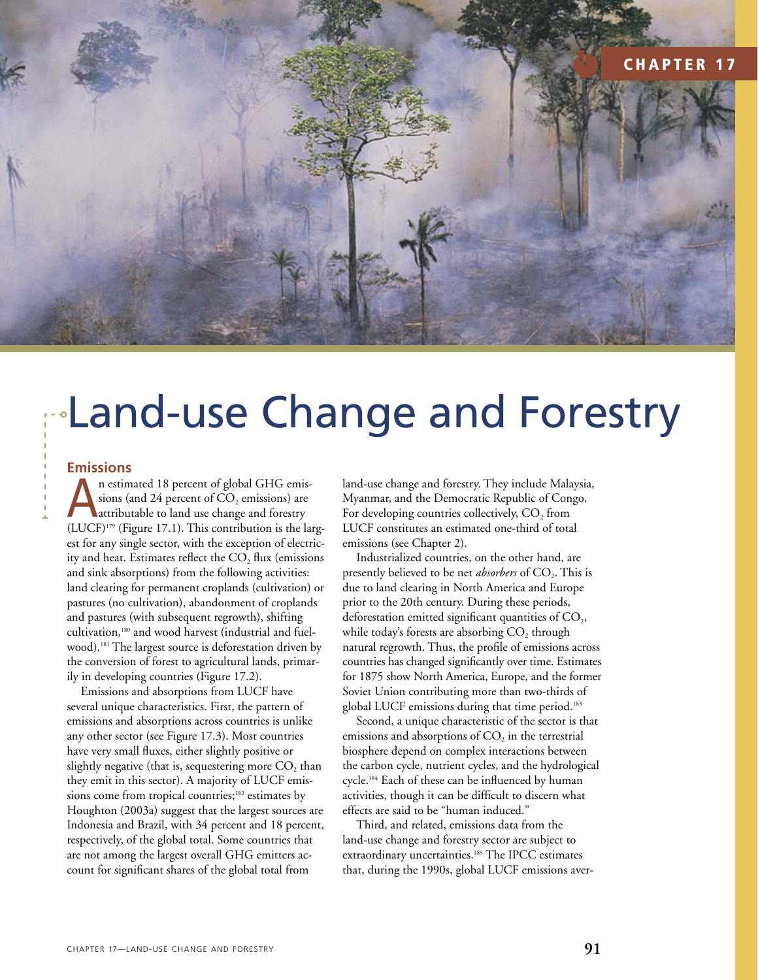

## Land-use Change and Forestry

## **Emissions**

n estimated 18 percent of global GHG emissions (and 24 percent of  $CO<sub>2</sub>$  emissions) are attributable to land use change and forestry  $(LUCF)^{179}$  (Figure 17.1). This contribution is the largest for any single sector, with the exception of electricity and heat. Estimates reflect the  $CO<sub>2</sub>$  flux (emissions and sink absorptions) from the following activities: land clearing for permanent croplands (cultivation) or pastures (no cultivation), abandonment of croplands and pastures (with subsequent regrowth), shifting cultivation,180 and wood harvest (industrial and fuelwood).<sup>181</sup> The largest source is deforestation driven by the conversion of forest to agricultural lands, primarily in developing countries (Figure 17.2).

Emissions and absorptions from LUCF have several unique characteristics. First, the pattern of emissions and absorptions across countries is unlike any other sector (see Figure 17.3). Most countries have very small fluxes, either slightly positive or slightly negative (that is, sequestering more  $CO<sub>2</sub>$  than they emit in this sector). A majority of LUCF emissions come from tropical countries;<sup>182</sup> estimates by Houghton (2003a) suggest that the largest sources are Indonesia and Brazil, with 34 percent and 18 percent, respectively, of the global total. Some countries that are not among the largest overall GHG emitters account for significant shares of the global total from

land-use change and forestry. They include Malaysia, Myanmar, and the Democratic Republic of Congo. For developing countries collectively,  $CO<sub>2</sub>$  from LUCF constitutes an estimated one-third of total emissions (see Chapter 2).

Industrialized countries, on the other hand, are presently believed to be net *absorbers* of CO<sub>2</sub>. This is due to land clearing in North America and Europe prior to the 20th century. During these periods, deforestation emitted significant quantities of  $CO<sub>2</sub>$ , while today's forests are absorbing  $CO<sub>2</sub>$  through natural regrowth. Thus, the profile of emissions across countries has changed significantly over time. Estimates for 1875 show North America, Europe, and the former Soviet Union contributing more than two-thirds of global LUCF emissions during that time period.<sup>183</sup>

Second, a unique characteristic of the sector is that emissions and absorptions of  $CO<sub>2</sub>$  in the terrestrial biosphere depend on complex interactions between the carbon cycle, nutrient cycles, and the hydrological cycle.184 Each of these can be influenced by human activities, though it can be difficult to discern what effects are said to be "human induced."

Third, and related, emissions data from the land-use change and forestry sector are subject to extraordinary uncertainties.<sup>185</sup> The IPCC estimates that, during the 1990s, global LUCF emissions aver-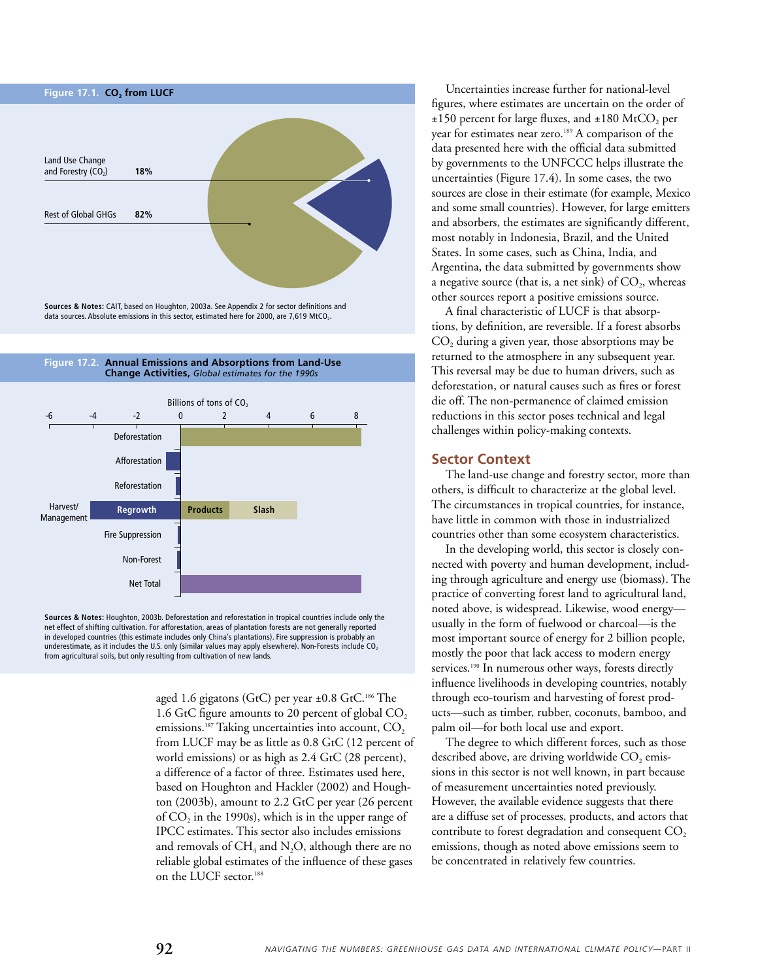







**Sources & Notes:** Houghton, 2003b. Deforestation and reforestation in tropical countries include only the net effect of shifting cultivation. For afforestation, areas of plantation forests are not generally reported in developed countries (this estimate includes only China's plantations). Fire suppression is probably an underestimate, as it includes the U.S. only (similar values may apply elsewhere). Non-Forests include CO<sub>2</sub> from agricultural soils, but only resulting from cultivation of new lands.

> aged 1.6 gigatons (GtC) per year  $\pm 0.8$  GtC.<sup>186</sup> The 1.6 GtC figure amounts to 20 percent of global  $CO<sub>2</sub>$ emissions.<sup>187</sup> Taking uncertainties into account,  $CO<sub>2</sub>$ from LUCF may be as little as 0.8 GtC (12 percent of world emissions) or as high as 2.4 GtC (28 percent), a difference of a factor of three. Estimates used here, based on Houghton and Hackler (2002) and Houghton (2003b), amount to 2.2 GtC per year (26 percent of  $CO<sub>2</sub>$  in the 1990s), which is in the upper range of IPCC estimates. This sector also includes emissions and removals of  $CH_4$  and N<sub>2</sub>O, although there are no reliable global estimates of the influence of these gases on the LUCF sector.188

Uncertainties increase further for national-level figures, where estimates are uncertain on the order of  $\pm 150$  percent for large fluxes, and  $\pm 180$  MtCO<sub>2</sub> per year for estimates near zero.<sup>189</sup> A comparison of the data presented here with the official data submitted by governments to the UNFCCC helps illustrate the uncertainties (Figure 17.4). In some cases, the two sources are close in their estimate (for example, Mexico and some small countries). However, for large emitters and absorbers, the estimates are significantly different, most notably in Indonesia, Brazil, and the United States. In some cases, such as China, India, and Argentina, the data submitted by governments show a negative source (that is, a net sink) of  $CO<sub>2</sub>$ , whereas other sources report a positive emissions source.

A final characteristic of LUCF is that absorptions, by definition, are reversible. If a forest absorbs  $CO<sub>2</sub>$  during a given year, those absorptions may be returned to the atmosphere in any subsequent year. This reversal may be due to human drivers, such as deforestation, or natural causes such as fires or forest die off. The non-permanence of claimed emission reductions in this sector poses technical and legal challenges within policy-making contexts.

## **Sector Context**

The land-use change and forestry sector, more than others, is difficult to characterize at the global level. The circumstances in tropical countries, for instance, have little in common with those in industrialized countries other than some ecosystem characteristics.

In the developing world, this sector is closely connected with poverty and human development, includ-<br>ing through agriculture and energy use (hieraese). The ing through agriculture and energy use (biomass). The practice of converting forest land to agricultural land, noted above, is widespread. Likewise, wood energy usually in the form of fuelwood or charcoal—is the most important source of energy for 2 billion people, mostly the poor that lack access to modern energy services.<sup>190</sup> In numerous other ways, forests directly influence livelihoods in developing countries, notably through eco-tourism and harvesting of forest products—such as timber, rubber, coconuts, bamboo, and palm oil—for both local use and export.  $\mathbf{F}$  -suppression  $\mathbf{F}$ 

The degree to which different forces, such as those described above, are driving worldwide  $CO<sub>2</sub>$  emissions in this sector is not well known, in part because of measurement uncertainties noted previously. However, the available evidence suggests that there are a diffuse set of processes, products, and actors that contribute to forest degradation and consequent  $CO<sub>2</sub>$ emissions, though as noted above emissions seem to be concentrated in relatively few countries.